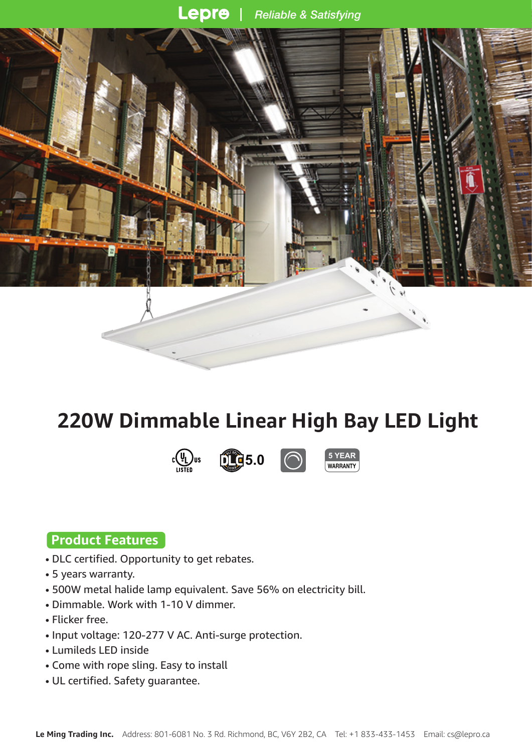#### Lepre **Reliable & Satisfying**



# **220W Dimmable Linear High Bay LED Light**







### **Product Features**

- DLC certified. Opportunity to get rebates.
- 5 years warranty.
- 500W metal halide lamp equivalent. Save 56% on electricity bill.
- Dimmable. Work with 1-10 V dimmer.
- Flicker free.
- Input voltage: 120-277 V AC. Anti-surge protection.
- Lumileds LED inside
- Come with rope sling. Easy to install
- UL certified. Safety guarantee.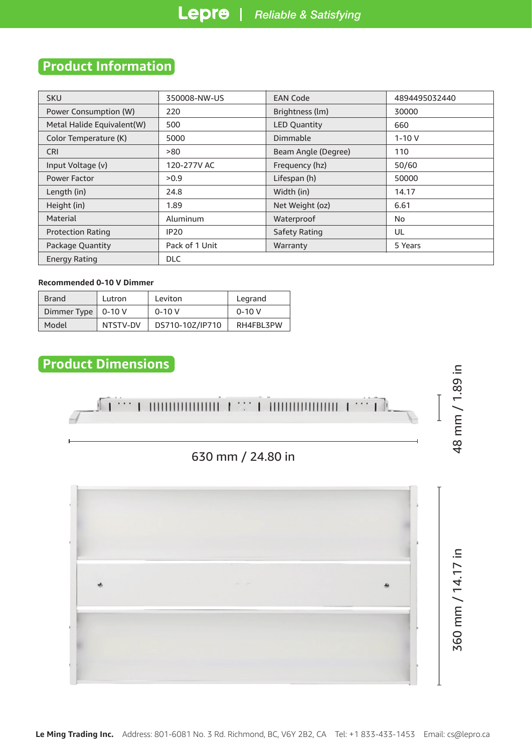### **Product Information**

| <b>SKU</b>                              | 350008-NW-US   | <b>EAN Code</b>     | 4894495032440 |  |  |
|-----------------------------------------|----------------|---------------------|---------------|--|--|
| Power Consumption (W)                   | 220            | Brightness (lm)     | 30000         |  |  |
| Metal Halide Equivalent(W)              | 500            | <b>LED Quantity</b> | 660           |  |  |
| Color Temperature (K)                   | 5000           | Dimmable            | $1 - 10V$     |  |  |
| <b>CRI</b>                              | >80            | Beam Angle (Degree) | 110           |  |  |
| Input Voltage (v)                       | 120-277V AC    | Frequency (hz)      | 50/60         |  |  |
| Power Factor                            | >0.9           | Lifespan (h)        | 50000         |  |  |
| Length (in)                             | 24.8           | Width (in)          | 14.17         |  |  |
| Height (in)                             | 1.89           | Net Weight (oz)     | 6.61          |  |  |
| Aluminum<br>Material                    |                | Waterproof          | No            |  |  |
| <b>IP20</b><br><b>Protection Rating</b> |                | Safety Rating       | UL            |  |  |
| Package Quantity                        | Pack of 1 Unit | Warranty            | 5 Years       |  |  |
| <b>Energy Rating</b>                    | <b>DLC</b>     |                     |               |  |  |

#### **Recommended 0-10 V Dimmer**

| <b>Brand</b>         | Lutron   | Leviton         | Legrand   |
|----------------------|----------|-----------------|-----------|
| Dimmer Type   0-10 V |          | $0 - 10V$       | $0 - 10V$ |
| Model                | NTSTV-DV | DS710-10Z/IP710 | RH4FBL3PW |

### **Product Dimensions**

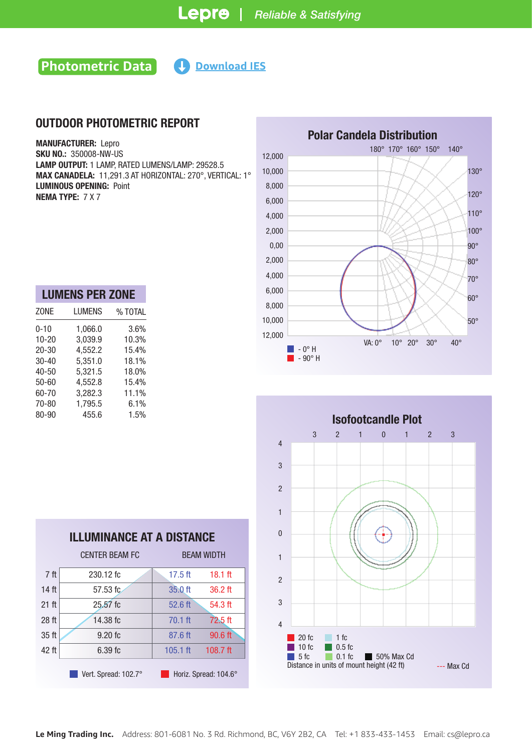### **Photometric Data Help Download IES**

### OUTDOOR PHOTOMETRIC REPORT

MANUFACTURER: Lepro SKU NO.: 350008-NW-US LAMP OUTPUT: 1 LAMP, RATED LUMENS/LAMP: 29528.5 MAX CANADELA: 11,291.3 AT HORIZONTAL: 270°, VERTICAL: 1° LUMINOUS OPENING: Point NEMA TYPE: 7 X 7

| <b>LUMENS PER ZONE</b> |         |
|------------------------|---------|
| LUMENS                 | % TOTAL |
| 1,066.0                | 3.6%    |
| 3,039.9                | 10.3%   |
| 4,552.2                | 15.4%   |
| 5,351.0                | 18.1%   |
| 5,321.5                | 18.0%   |
| 4,552.8                | 15.4%   |
| 3,282.3                | 11.1%   |
| 1,795.5                | 6.1%    |
| 455.6                  | 1.5%    |
|                        |         |

| <b>Polar Candela Distribution</b> |                                                                      |  |  |  |  |  |  |
|-----------------------------------|----------------------------------------------------------------------|--|--|--|--|--|--|
| 12,000                            | 180° 170° 160° 150°<br>$140^\circ$                                   |  |  |  |  |  |  |
| 10,000                            | $130^\circ$                                                          |  |  |  |  |  |  |
| 8,000                             |                                                                      |  |  |  |  |  |  |
| 6,000                             | $120^\circ$                                                          |  |  |  |  |  |  |
| 4,000                             | $110^\circ$                                                          |  |  |  |  |  |  |
| 2,000                             | 100°                                                                 |  |  |  |  |  |  |
| 0,00                              | $90^\circ$                                                           |  |  |  |  |  |  |
| 2,000                             | $80^\circ$                                                           |  |  |  |  |  |  |
| 4,000                             | $70^{\circ}$                                                         |  |  |  |  |  |  |
| 6,000                             | $60^\circ$                                                           |  |  |  |  |  |  |
| 8,000                             |                                                                      |  |  |  |  |  |  |
| 10,000                            | $50^\circ$                                                           |  |  |  |  |  |  |
| 12,000                            | VA: 0°<br>$10^{\circ}$<br>$20^{\circ}$<br>$30^\circ$<br>$40^{\circ}$ |  |  |  |  |  |  |
|                                   | $-0^\circ$ H<br>- 90° H                                              |  |  |  |  |  |  |



| ILLUIVIINANUL AI A DIJIANUL |                       |                   |                       |  |  |  |
|-----------------------------|-----------------------|-------------------|-----------------------|--|--|--|
|                             | <b>CENTER BEAM FC</b> | <b>BEAM WIDTH</b> |                       |  |  |  |
| 7 <sup>ft</sup>             | 230.12 fc             | $17.5$ ft         | $18.1$ ft             |  |  |  |
| 14 <sub>ft</sub>            | 57.53 fc              | 35.0 ft           | 36.2 ft               |  |  |  |
| 21 ft                       | $25.57$ fc            | 52.6 ft           | 54.3 ft               |  |  |  |
| 28 <sub>ft</sub>            | 14.38 fc              | $70.1$ ft         | 72.5 ft               |  |  |  |
| 35 ft                       | $9.20$ fc             | 87.6 ft           | 90.6 ft               |  |  |  |
| 42 ft                       | 6.39fc                | $105.1$ ft        | 108.7 $ft$            |  |  |  |
|                             | Vert. Spread: 102.7°  |                   | Horiz. Spread: 104.6° |  |  |  |

ILLUMINANCE AT A DISTANCE